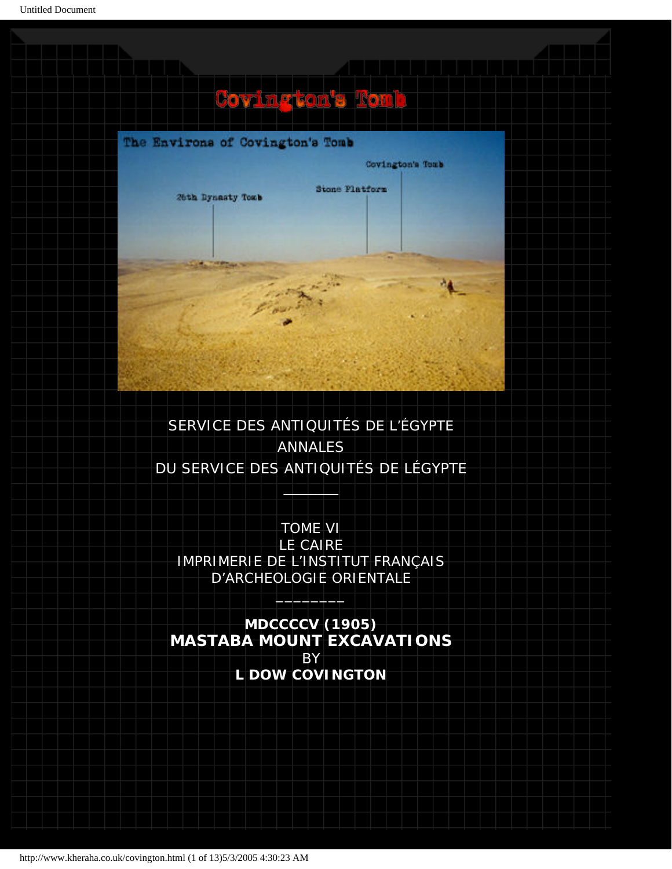# Covington's Tomb



# SERVICE DES ANTIQUITÉS DE L'ÉGYPTE ANNALES DU SERVICE DES ANTIQUITÉS DE LÉGYPTE

 $\blacksquare$ 

TOME VI LE CAIRE IMPRIMERIE DE L'INSTITUT FRANÇAIS D'ARCHEOLOGIE ORIENTALE  $\overline{\phantom{a}}$ 

**MDCCCCV (1905) MASTABA MOUNT EXCAVATIONS** BY **L DOW COVINGTON**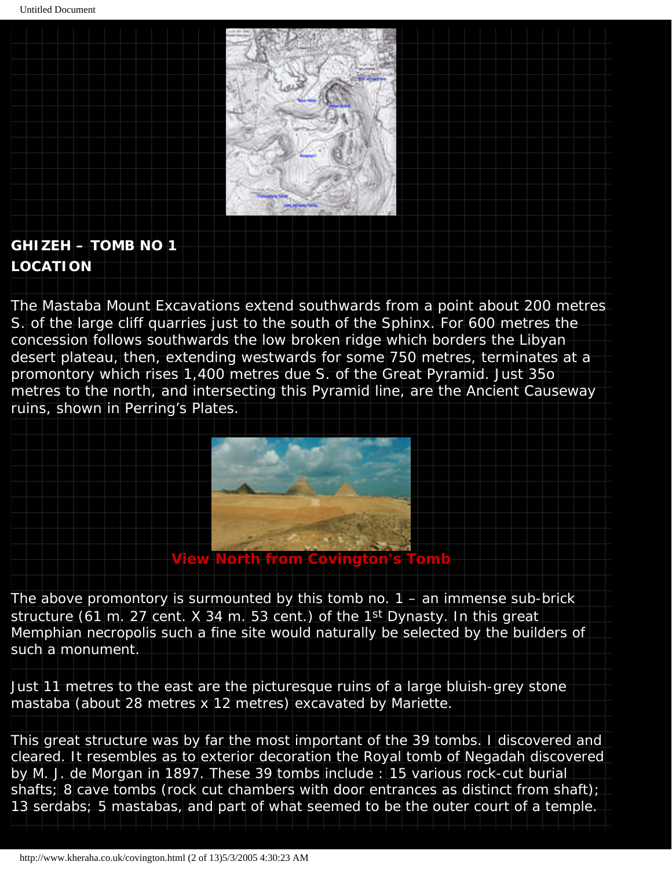

# **GHIZEH – TOMB NO 1 LOCATION**

The Mastaba Mount Excavations extend southwards from a point about 200 metres S. of the large cliff quarries just to the south of the Sphinx. For 600 metres the concession follows southwards the low broken ridge which borders the Libyan desert plateau, then, extending westwards for some 750 metres, terminates at a promontory which rises 1,400 metres due S. of the Great Pyramid. Just 35o metres to the north, and intersecting this Pyramid line, are the Ancient Causeway ruins, shown in Perring's Plates.



The above promontory is surmounted by this tomb no.  $1 -$  an immense sub-brick structure (61 m. 27 cent. X 34 m. 53 cent.) of the 1st Dynasty. In this great Memphian necropolis such a fine site would naturally be selected by the builders of such a monument.

Just 11 metres to the east are the picturesque ruins of a large bluish-grey stone mastaba (about 28 metres x 12 metres) excavated by Mariette.

This great structure was by far the most important of the 39 tombs. I discovered and cleared. It resembles as to exterior decoration the Royal tomb of Negadah discovered by M. J. de Morgan in 1897. These 39 tombs include : 15 various rock-cut burial shafts; 8 cave tombs (rock cut chambers with door entrances as distinct from shaft); 13 serdabs; 5 mastabas, and part of what seemed to be the outer court of a temple.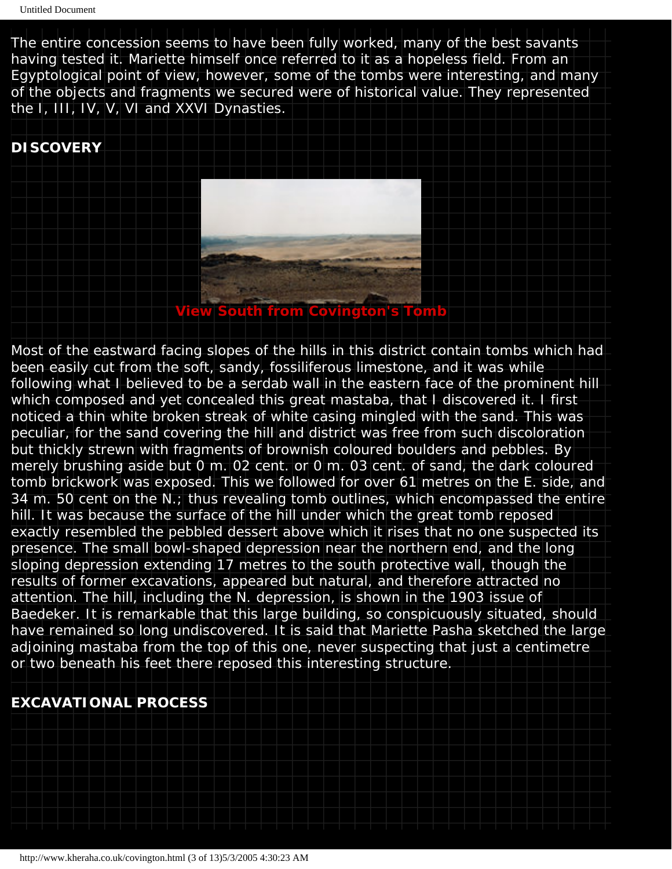The entire concession seems to have been fully worked, many of the best savants having tested it. Mariette himself once referred to it as a *hopeless field*. From an Egyptological point of view, however, some of the tombs were interesting, and many of the objects and fragments we secured were of historical value. They represented the I, III, IV, V, VI and XXVI Dynasties.

### **DISCOVERY**



Most of the eastward facing slopes of the hills in this district contain tombs which had been easily cut from the soft, sandy, fossiliferous limestone, and it was while following what I believed to be a serdab wall in the eastern face of the prominent hill which composed and yet concealed this great mastaba, that I discovered it. I first noticed a thin white broken streak of white casing mingled with the sand. This was peculiar, for the sand covering the hill and district was free from such discoloration but thickly strewn with fragments of brownish coloured boulders and pebbles. By merely brushing aside but 0 m. 02 cent. or 0 m. 03 cent. of sand, the dark coloured tomb brickwork was exposed. This we followed for over 61 metres on the E. side, and 34 m. 50 cent on the N.; thus revealing tomb outlines, which encompassed the entire hill. It was because the surface of the hill under which the great tomb reposed exactly resembled the pebbled dessert above which it rises that no one suspected its presence. The small bowl-shaped depression near the northern end, and the long sloping depression extending 17 metres to the south protective wall, though the results of former excavations, appeared but natural, and therefore attracted no attention. The hill, including the N. depression, is shown in the 1903 issue of Baedeker. It is remarkable that this large building, so conspicuously situated, should have remained so long undiscovered. It is said that Mariette Pasha sketched the large adjoining mastaba from the top of this one, never suspecting that just a centimetre or two beneath his feet there reposed this interesting structure.

## **EXCAVATIONAL PROCESS**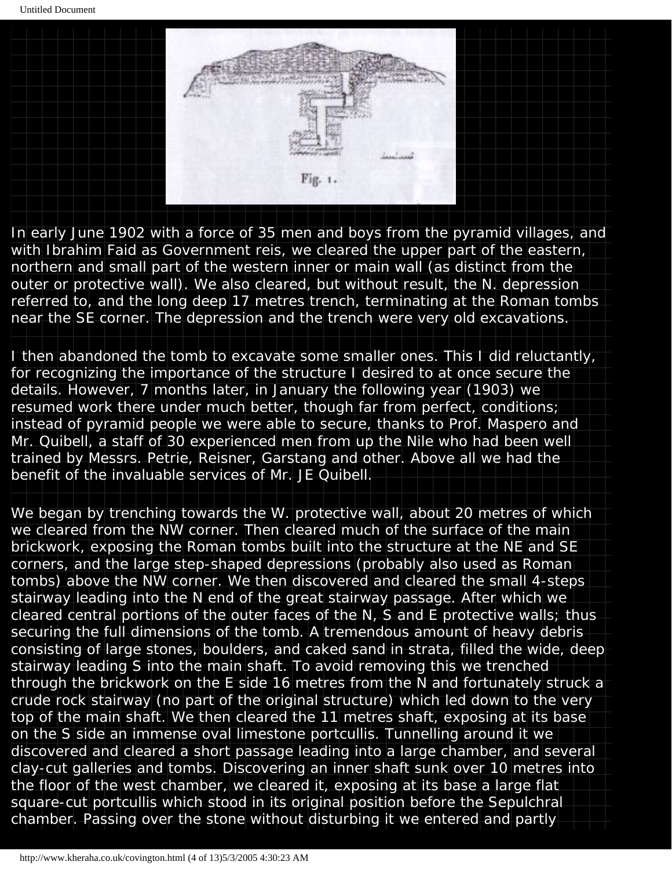Untitled Document



In early June 1902 with a force of 35 men and boys from the pyramid villages, and with Ibrahim Faid as Government reis, we cleared the upper part of the eastern, northern and small part of the western inner or main wall (as distinct from the outer or protective wall). We also cleared, but without result, the N. depression referred to, and the long deep 17 metres trench, terminating at the Roman tombs near the SE corner. The depression and the trench were very old excavations.

I then abandoned the tomb to excavate some smaller ones. This I did reluctantly, for recognizing the importance of the structure I desired to at once secure the details. However, 7 months later, in January the following year (1903) we resumed work there under much better, though far from perfect, conditions; instead of pyramid people we were able to secure, thanks to Prof. Maspero and Mr. Quibell, a staff of 30 experienced men from up the Nile who had been well trained by Messrs. Petrie, Reisner, Garstang and other. Above all we had the benefit of the invaluable services of Mr. JE Quibell.

We began by trenching towards the W. protective wall, about 20 metres of which we cleared from the NW corner. Then cleared much of the surface of the main brickwork, exposing the Roman tombs built into the structure at the NE and SE corners, and the large step-shaped depressions (probably also used as Roman tombs) above the NW corner. We then discovered and cleared the small 4-steps stairway leading into the N end of the great stairway passage. After which we cleared central portions of the outer faces of the N, S and E protective walls; thus securing the full dimensions of the tomb. A tremendous amount of heavy debris consisting of large stones, boulders, and caked sand in strata, filled the wide, deep stairway leading S into the main shaft. To avoid removing this we trenched through the brickwork on the E side 16 metres from the N and fortunately struck a crude rock stairway (no part of the original structure) which led down to the very top of the main shaft. We then cleared the 11 metres shaft, exposing at its base on the S side an immense oval limestone portcullis. Tunnelling around it we discovered and cleared a short passage leading into a large chamber, and several clay-cut galleries and tombs. Discovering an inner shaft sunk over 10 metres into the floor of the west chamber, we cleared it, exposing at its base a large flat square-cut portcullis which stood in its original position before the Sepulchral chamber. Passing over the stone without disturbing it we entered and partly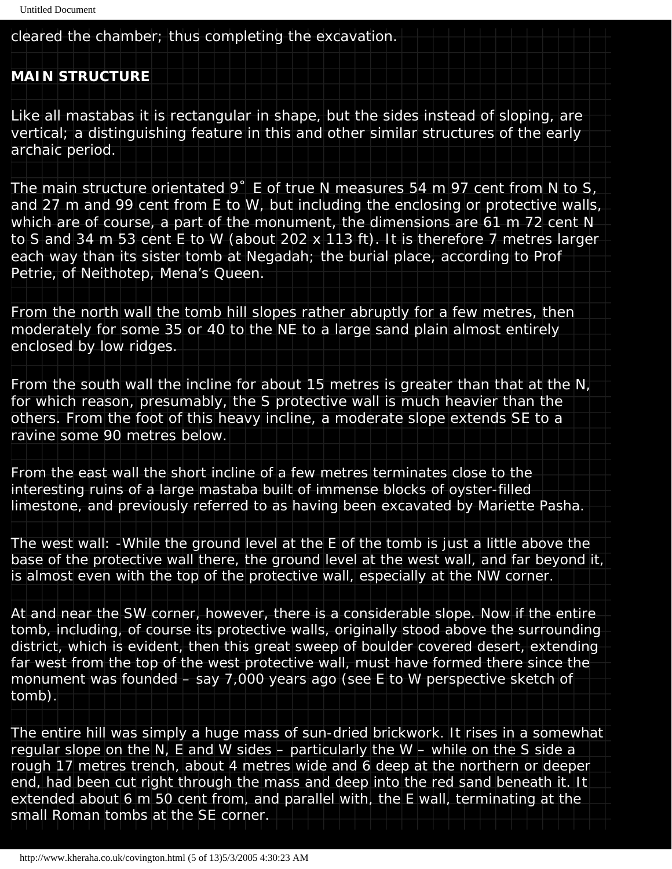cleared the chamber; thus completing the excavation.

#### **MAIN STRUCTURE**

Like all mastabas it is rectangular in shape, but the sides instead of sloping, are vertical; a distinguishing feature in this and other similar structures of the early archaic period.

The main structure orientated 9˚E of true N measures 54 m 97 cent from N to S, and 27 m and 99 cent from E to W, but including the enclosing or protective walls, which are of course, a part of the monument, the dimensions are 61 m 72 cent N to S and 34 m 53 cent E to W (about 202 x 113 ft). It is therefore 7 metres larger each way than its sister tomb at Negadah; the burial place, according to Prof Petrie, of Neithotep, Mena's Queen.

From the north wall the tomb hill slopes rather abruptly for a few metres, then moderately for some 35 or 40 to the NE to a large sand plain almost entirely enclosed by low ridges.

From the south wall the incline for about 15 metres is greater than that at the N, for which reason, presumably, the S protective wall is much heavier than the others. From the foot of this heavy incline, a moderate slope extends SE to a ravine some 90 metres below.

From the east wall the short incline of a few metres terminates close to the interesting ruins of a large mastaba built of immense blocks of oyster-filled limestone, and previously referred to as having been excavated by Mariette Pasha.

The west wall: -While the ground level at the E of the tomb is just a little above the base of the protective wall there, the ground level at the west wall, and far beyond it, is almost even with the *top* of the protective wall, especially at the NW corner.

At and near the SW corner, however, there is a considerable slope. Now if the entire tomb, including, of course its protective walls, originally stood above the surrounding district, which is evident, then this great sweep of boulder covered desert, extending far west from the top of the west protective wall, must have formed there since the monument was founded – say 7,000 years ago (see E to W perspective sketch of tomb).

The entire hill was simply a huge mass of sun-dried brickwork. It rises in a somewhat regular slope on the N, E and W sides – particularly the W – while on the S side a rough 17 metres trench, about 4 metres wide and 6 deep at the northern or deeper end, had been cut right through the mass and deep into the red sand beneath it. It extended about 6 m 50 cent from, and parallel with, the E wall, terminating at the small Roman tombs at the SE corner.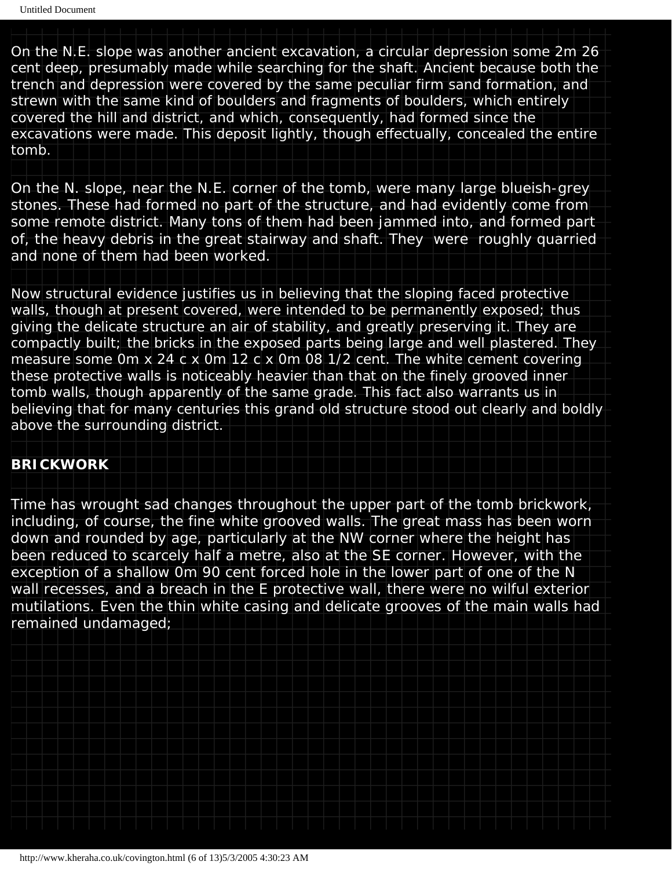On the N.E. slope was another ancient excavation, a circular depression some 2m 26 cent deep, presumably made while searching for the shaft. *Ancient* because both the trench and depression were covered by the same peculiar firm sand formation, and strewn with the same kind of boulders and fragments of boulders, which entirely covered the hill and district, and which, consequently, had formed since the excavations were made. This deposit lightly, though effectually, concealed the entire tomb.

On the N. slope, near the N.E. corner of the tomb, were many large blueish-grey stones. These had formed no part of the structure, and had evidently come from some remote district. Many tons of them had been jammed into, and formed part of, the heavy debris in the great stairway and shaft. They were roughly quarried and none of them had been worked.

Now structural evidence justifies us in believing that the sloping faced protective walls, though at present covered, were intended to be permanently exposed; thus giving the delicate structure an air of stability, and greatly preserving it. They are compactly built; the bricks in the exposed parts being large and well plastered. They measure some 0m x 24 c x 0m 12 c x 0m 08 1/2 cent. The white cement covering these protective walls is noticeably heavier than that on the finely grooved inner tomb walls, though apparently of the same grade. This fact also warrants us in believing that for many centuries this grand old structure stood out clearly and boldly above the surrounding district.

#### **BRICKWORK**

Time has wrought sad changes throughout the upper part of the tomb brickwork, including, of course, the fine white grooved walls. The great mass has been worn down and rounded by age, particularly at the NW corner where the height has been reduced to scarcely half a metre, also at the SE corner. However, with the exception of a shallow 0m 90 cent forced hole in the lower part of one of the N wall recesses, and a breach in the E protective wall, there were no wilful exterior mutilations. Even the thin white casing and delicate grooves of the main walls had remained undamaged;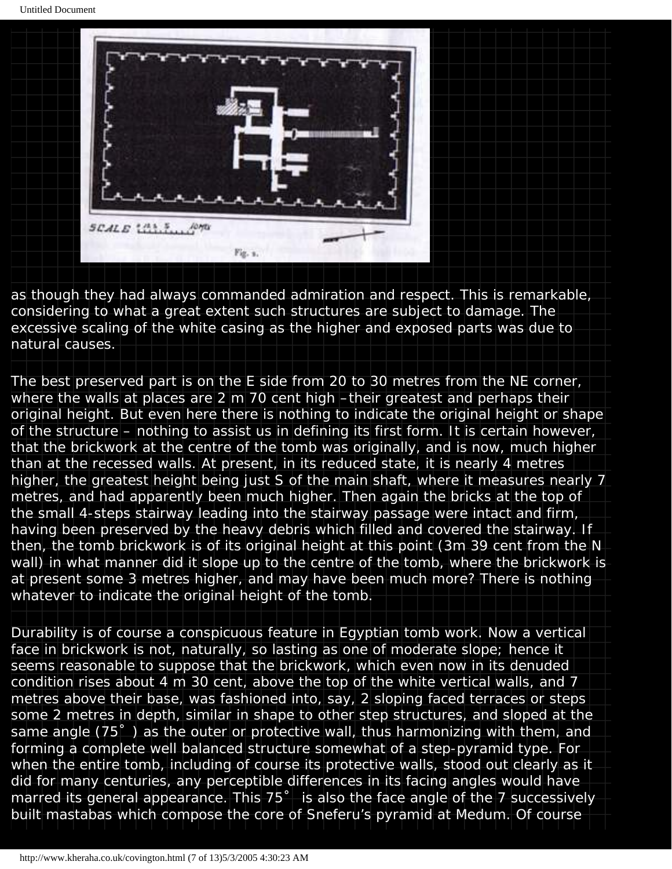Untitled Document



as though they had always commanded admiration and respect. This is remarkable, considering to what a great extent such structures are subject to damage. The excessive scaling of the white casing as the higher and exposed parts was due to natural causes.

The best preserved part is on the E side from 20 to 30 metres from the NE corner, where the walls at places are 2 m 70 cent high –their greatest and perhaps their original height. But even here there is nothing to indicate the original height or shape of the structure – nothing to assist us in defining its first form. It is certain however, that the brickwork at the centre of the tomb was originally, and is now, much higher than at the recessed walls. At present, in its reduced state, it is nearly 4 metres higher, the greatest height being just S of the main shaft, where it measures nearly 7 metres, and had apparently been much higher. Then again the bricks at the top of the small 4-steps stairway leading into the stairway passage were intact and firm, having been preserved by the heavy debris which filled and covered the stairway. If then, the tomb brickwork is of its original height at this point (3m 39 cent from the N wall) in what manner did it slope up to the centre of the tomb, where the brickwork is at present some 3 metres higher, and may have been much more? There is nothing whatever to indicate the original height of the tomb.

Durability is of course a conspicuous feature in Egyptian tomb work. Now a vertical face in brickwork is not, naturally, so lasting as one of moderate slope; hence it seems reasonable to suppose that the brickwork, which even now in its denuded condition rises about 4 m 30 cent, above the top of the white vertical walls, and 7 metres above their base, was fashioned into, say, 2 sloping faced terraces or steps some 2 metres in depth, similar in shape to other step structures, and sloped at the same angle (75˚) as the outer or protective wall, thus harmonizing with them, and forming a complete well balanced structure somewhat of a step-pyramid type. For when the entire tomb, including of course its protective walls, stood out clearly as it did for many centuries, any perceptible differences in its facing angles would have marred its general appearance. This 75˚ is also the face angle of the 7 successively built mastabas which compose the core of Sneferu's pyramid at Medum. Of course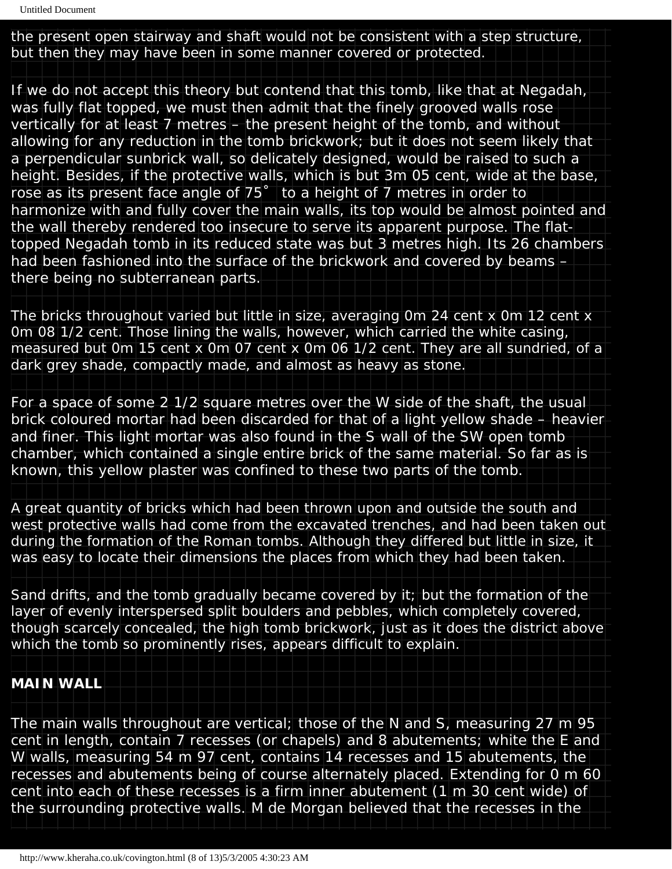the present open stairway and shaft would not be consistent with a step structure, but then they may have been in some manner covered or protected.

If we do not accept this theory but contend that this tomb, like that at Negadah, was fully flat topped, we must then admit that the finely grooved walls rose vertically for at least 7 metres – the present height of the tomb, and without allowing for any reduction in the tomb brickwork; but it does not seem likely that a perpendicular sunbrick wall, so delicately designed, would be raised to such a height. Besides, if the protective walls, which is but 3m 05 cent, wide at the base, rose as its present face angle of 75˚ to a height of 7 metres in order to harmonize with and fully cover the main walls, its top would be almost pointed and the wall thereby rendered too insecure to serve its apparent purpose. The flattopped Negadah tomb in its reduced state was but 3 metres high. Its 26 chambers had been fashioned into the surface of the brickwork and covered by beams – there being no subterranean parts.

The bricks throughout varied but little in size, averaging 0m 24 cent x 0m 12 cent x 0m 08 1/2 cent. Those lining the walls, however, which carried the white casing, measured but 0m 15 cent x 0m 07 cent x 0m 06 1/2 cent. They are all sundried, of a dark grey shade, compactly made, and almost as heavy as stone.

For a space of some 2 1/2 square metres over the W side of the shaft, the usual brick coloured mortar had been discarded for that of a light yellow shade – heavier and finer. This light mortar was also found in the S wall of the SW open tomb chamber, which contained a single entire brick of the same material. So far as is known, this yellow plaster was confined to these two parts of the tomb.

A great quantity of bricks which had been thrown upon and outside the south and west protective walls had come from the excavated trenches, and had been taken out during the formation of the Roman tombs. Although they differed but little in size, it was easy to locate their dimensions the places from which they had been taken.

Sand drifts, and the tomb gradually became covered by it; but the formation of the layer of evenly interspersed split boulders and pebbles, which completely covered, though scarcely concealed, the high tomb brickwork, just as it does the district above which the tomb so prominently rises, appears difficult to explain.

## **MAIN WALL**

The main walls throughout are vertical; those of the N and S, measuring 27 m 95 cent in length, contain 7 recesses (or chapels) and 8 abutements; white the E and W walls, measuring 54 m 97 cent, contains 14 recesses and 15 abutements, the recesses and abutements being of course alternately placed. Extending for 0 m 60 cent into each of these recesses is a firm inner abutement (1 m 30 cent wide) of the surrounding protective walls. M de Morgan believed that the recesses in the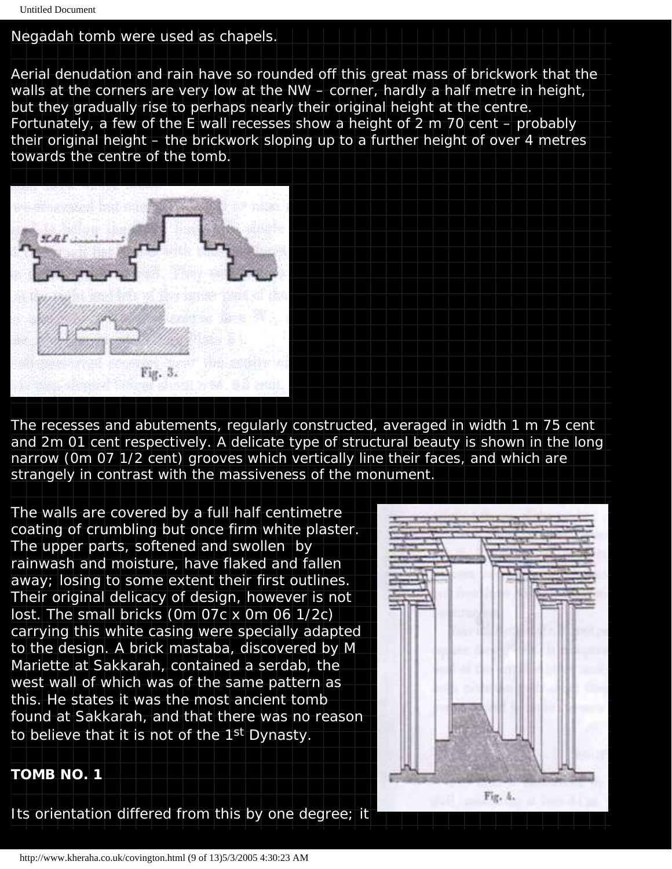#### Negadah tomb were used as chapels.

Aerial denudation and rain have so rounded off this great mass of brickwork that the walls at the corners are very low at the NW – corner, hardly a half metre in height, but they gradually rise to perhaps nearly their original height at the centre. Fortunately, a few of the E wall recesses show a height of 2 m 70 cent – probably their original height – the brickwork sloping up to a further height of over 4 metres

towards the centre of the tomb.



The recesses and abutements, regularly constructed, averaged in width 1 m 75 cent and 2m 01 cent respectively. A delicate type of structural beauty is shown in the long narrow (0m 07 1/2 cent) grooves which vertically line their faces, and which are strangely in contrast with the massiveness of the monument.

The walls are covered by a full half centimetre coating of crumbling but once firm white plaster. The upper parts, softened and swollen by rainwash and moisture, have flaked and fallen away; losing to some extent their first outlines. Their original delicacy of design, however is not lost. The small bricks (0m 07c x 0m 06 1/2c) carrying this white casing were specially adapted to the design. A brick mastaba, discovered by M Mariette at Sakkarah, contained a serdab, the west wall of which was of the same pattern as this. He states it was the most ancient tomb found at Sakkarah, and that there was no reason to believe that it is not of the 1<sup>st</sup> Dynasty.



**TOMB NO. 1**

Its orientation differed from this by one degree; it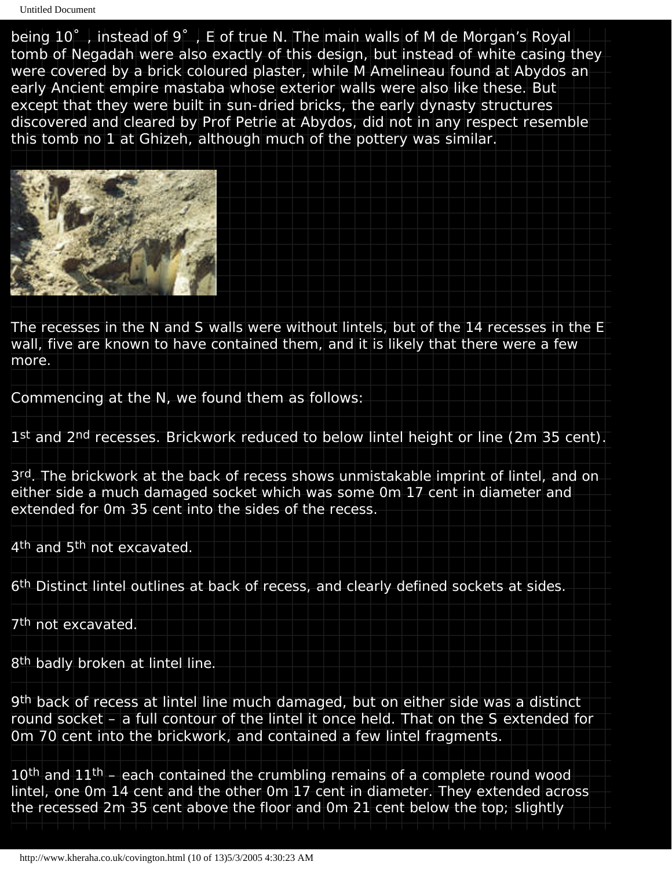being 10°, instead of 9°, E of true N. The main walls of M de Morgan's Royal tomb of Negadah were also exactly of this design, but instead of white casing they were covered by a brick coloured plaster, while M Amelineau found at Abydos an early Ancient empire mastaba whose exterior walls were also like these. But except that they were built in sun-dried bricks, the early dynasty structures discovered and cleared by Prof Petrie at Abydos, did not in any respect resemble this tomb no 1 at Ghizeh, although much of the pottery was similar.



The recesses in the N and S walls were without lintels, but of the 14 recesses in the E wall, five are known to have contained them, and it is likely that there were a few more.

Commencing at the N, we found them as follows:

1st and 2<sup>nd</sup> recesses. Brickwork reduced to below lintel height or line (2m 35 cent).

3rd. The brickwork at the back of recess shows unmistakable imprint of lintel, and on either side a much damaged socket which was some 0m 17 cent in diameter and extended for 0m 35 cent into the sides of the recess.

4<sup>th</sup> and 5<sup>th</sup> not excavated.

6th Distinct lintel outlines at back of recess, and clearly defined sockets at sides.

7<sup>th</sup> not excavated.

8<sup>th</sup> badly broken at lintel line.

9th back of recess at lintel line much damaged, but on either side was a distinct round socket – a full contour of the lintel it once held. That on the S extended for 0m 70 cent into the brickwork, and contained a few lintel fragments.

10<sup>th</sup> and 11<sup>th</sup> – each contained the crumbling remains of a complete round wood lintel, one 0m 14 cent and the other 0m 17 cent in diameter. They extended across the recessed 2m 35 cent above the floor and 0m 21 cent below the top; slightly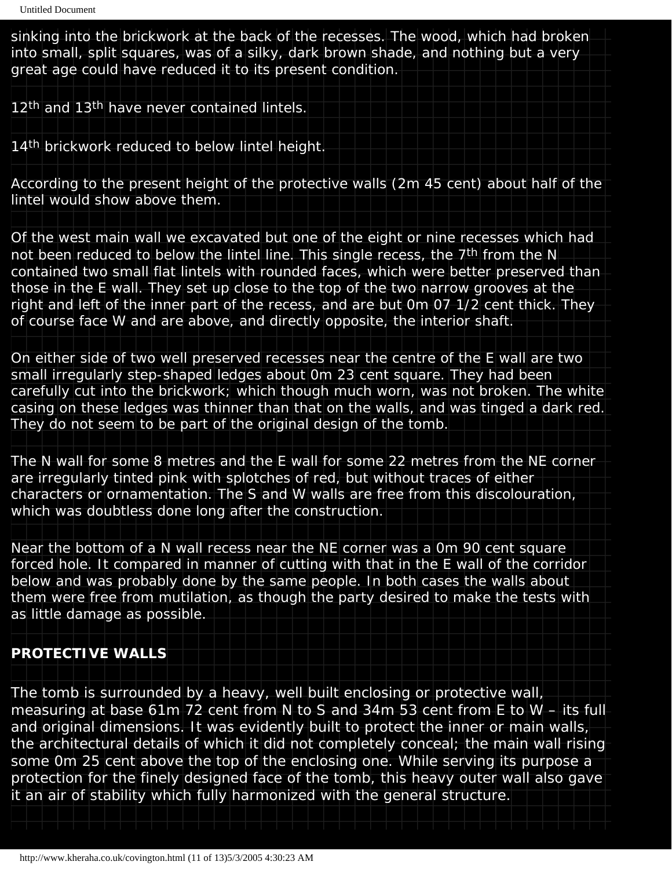sinking into the brickwork at the back of the recesses. The wood, which had broken into small, split squares, was of a silky, dark brown shade, and nothing but a very great age could have reduced it to its present condition.

12<sup>th</sup> and 13<sup>th</sup> have never contained lintels.

14<sup>th</sup> brickwork reduced to below lintel height.

According to the present height of the protective walls (2m 45 cent) about half of the lintel would show above them.

Of the west main wall we excavated but one of the eight or nine recesses which had not been reduced to below the lintel line. This single recess, the 7<sup>th</sup> from the N contained two small flat lintels with rounded faces, which were better preserved than those in the E wall. They set up close to the top of the two narrow grooves at the right and left of the inner part of the recess, and are but 0m 07 1/2 cent thick. They of course face W and are above, and directly opposite, the interior shaft.

On either side of two well preserved recesses near the centre of the E wall are two small irregularly step-shaped ledges about 0m 23 cent square. They had been carefully cut into the brickwork; which though much worn, was not broken. The white casing on these ledges was thinner than that on the walls, and was tinged a dark red. They do not seem to be part of the original design of the tomb.

The N wall for some 8 metres and the E wall for some 22 metres from the NE corner are irregularly tinted pink with splotches of red, but without traces of either characters or ornamentation. The S and W walls are free from this discolouration, which was doubtless done long after the construction.

Near the bottom of a N wall recess near the NE corner was a 0m 90 cent square forced hole. It compared in manner of cutting with that in the E wall of the corridor below and was probably done by the same people. In both cases the walls about them were free from mutilation, as though the party desired to make the tests with as little damage as possible.

#### **PROTECTIVE WALLS**

The tomb is surrounded by a heavy, well built enclosing or protective wall, measuring at base 61m 72 cent from N to S and 34m 53 cent from E to W – its full and original dimensions. It was evidently built to protect the inner or main walls, the architectural details of which it did not completely conceal; the main wall rising some 0m 25 cent above the top of the enclosing one. While serving its purpose a protection for the finely designed face of the tomb, this heavy outer wall also gave it an air of stability which fully harmonized with the general structure.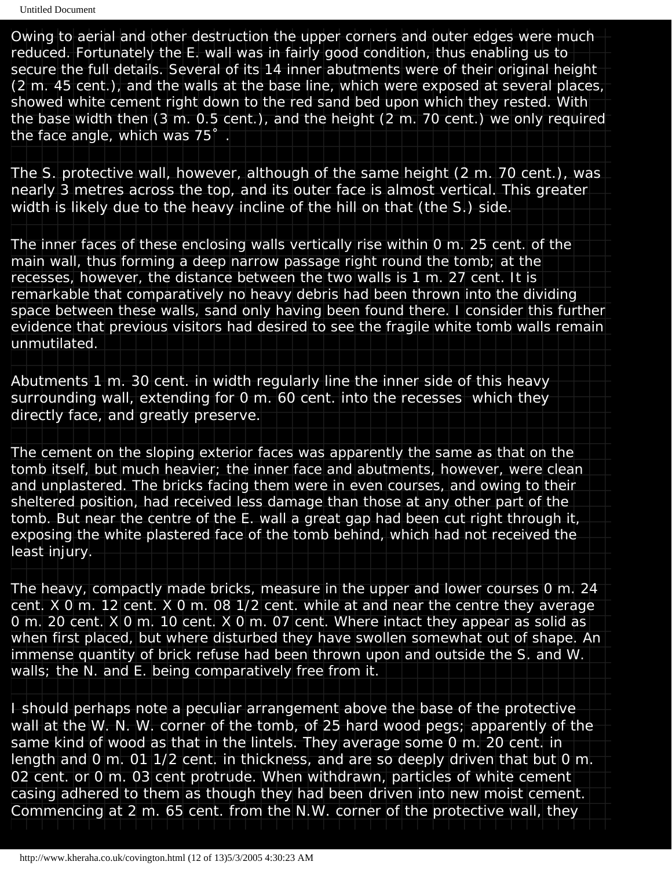Owing to aerial and other destruction the upper corners and outer edges were much reduced. Fortunately the E. wall was in fairly good condition, thus enabling us to secure the full details. Several of its 14 inner abutments were of their original height (2 m. 45 cent.), and the walls at the base line, which were exposed at several places, showed white cement right down to the red sand bed upon which they rested. With the base width then (3 m. 0.5 cent.), and the height (2 m. 70 cent.) we only required the face angle, which was 75˚.

The S. protective wall, however, although of the same height (2 m. 70 cent.), was nearly 3 metres across the top, and its outer face is almost vertical. This greater width is likely due to the heavy incline of the hill on that (the S.) side.

The inner faces of these enclosing walls vertically rise within 0 m. 25 cent. of the main wall, thus forming a deep narrow passage right round the tomb; at the recesses, however, the distance between the two walls is 1 m. 27 cent. It is remarkable that comparatively no heavy debris had been thrown into the dividing space between these walls, sand only having been found there. I consider this further evidence that previous visitors had desired to see the fragile white tomb walls remain unmutilated.

Abutments 1 m. 30 cent. in width regularly line the inner side of this heavy surrounding wall, extending for 0 m. 60 cent. into the recesses which they directly face, and greatly preserve.

The cement on the sloping exterior faces was apparently the same as that on the tomb itself, but much heavier; the inner face and abutments, however, were clean and unplastered. The bricks facing them were in even courses, and owing to their sheltered position, had received less damage than those at any other part of the tomb. But near the centre of the E. wall a great gap had been cut right through it, exposing the white plastered face of the tomb behind, which had not received the least injury.

The heavy, compactly made bricks, measure in the upper and lower courses 0 m. 24 cent. X 0 m. 12 cent. X 0 m. 08 1/2 cent. while at and near the centre they average 0 m. 20 cent. X 0 m. 10 cent. X 0 m. 07 cent. Where intact they appear as solid as when first placed, but where disturbed they have swollen somewhat out of shape. An immense quantity of brick refuse had been thrown upon and outside the S. and W. walls; the N. and E. being comparatively free from it.

I should perhaps note a peculiar arrangement above the base of the protective wall at the W. N. W. corner of the tomb, of 25 hard wood pegs; apparently of the same kind of wood as that in the lintels. They average some 0 m. 20 cent. in length and 0 m. 01 1/2 cent. in thickness, and are so deeply driven that but 0 m. 02 cent. or 0 m. 03 cent protrude. When withdrawn, particles of white cement casing adhered to them as though they had been driven into new moist cement. Commencing at 2 m. 65 cent. from the N.W. corner of the protective wall, they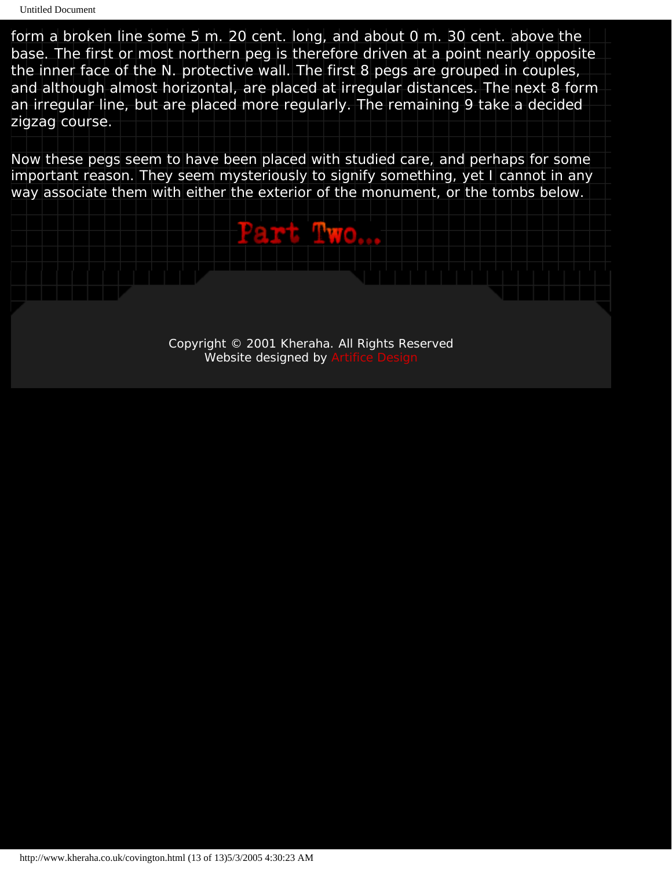form a broken line some 5 m. 20 cent. long, and about 0 m. 30 cent. above the base. The first or most northern peg is therefore driven at a point nearly opposite the inner face of the N. protective wall. The first 8 pegs are grouped in couples, and although almost horizontal, are placed at irregular distances. The next 8 form an irregular line, but are placed more regularly. The remaining 9 take a decided zigzag course.

Now these pegs seem to have been placed with studied care, and perhaps for some important reason. They seem mysteriously to signify something, yet I cannot in any way associate them with either the exterior of the monument, or the tombs below.

PartTwo...

Copyright © 2001 Kheraha. All Rights Reserved Website designed by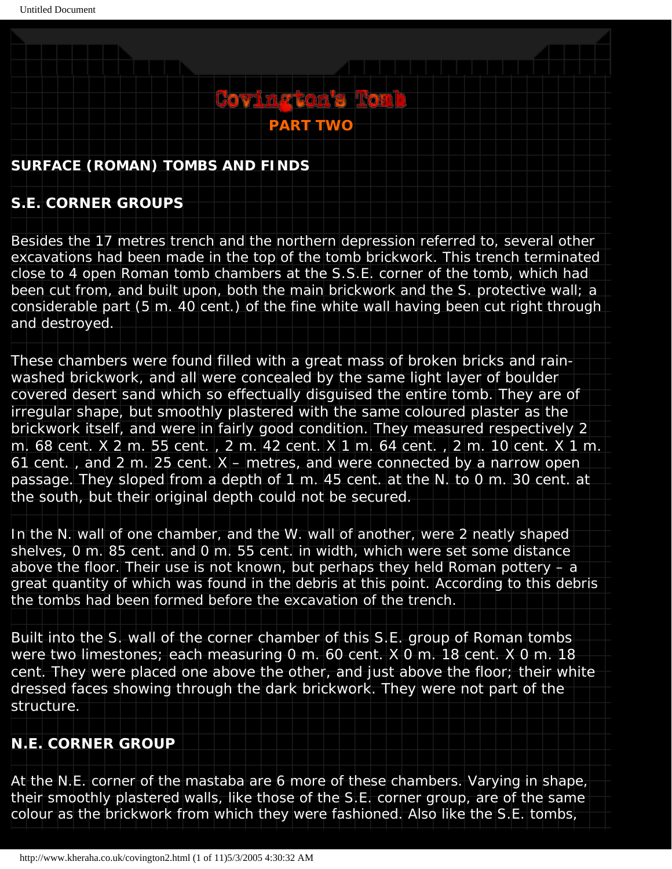## <span id="page-13-0"></span>**SURFACE (ROMAN) TOMBS AND FINDS**

## **S.E. CORNER GROUPS**

Besides the 17 metres trench and the northern depression referred to, several other excavations had been made in the top of the tomb brickwork. This trench terminated close to 4 open Roman tomb chambers at the S.S.E. corner of the tomb, which had been cut from, and built upon, both the main brickwork and the S. protective wall; a considerable part (5 m. 40 cent.) of the fine white wall having been cut right through and destroyed.

**PART TWO**

**Covington's Rom** 

These chambers were found filled with a great mass of broken bricks and rainwashed brickwork, and all were concealed by the same light layer of boulder covered desert sand which so effectually disguised the entire tomb. They are of irregular shape, but smoothly plastered with the same coloured plaster as the brickwork itself, and were in fairly good condition. They measured respectively 2 m. 68 cent. X 2 m. 55 cent. , 2 m. 42 cent. X 1 m. 64 cent. , 2 m. 10 cent. X 1 m. 61 cent. , and 2 m. 25 cent. X – metres, and were connected by a narrow open passage. They sloped from a depth of 1 m. 45 cent. at the N. to 0 m. 30 cent. at the south, but their original depth could not be secured.

In the N. wall of one chamber, and the W. wall of another, were 2 neatly shaped shelves, 0 m. 85 cent. and 0 m. 55 cent. in width, which were set some distance above the floor. Their use is not known, but perhaps they held Roman pottery  $- a$ great quantity of which was found in the debris at this point. According to this debris the tombs had been formed before the excavation of the trench.

Built into the S. wall of the corner chamber of this S.E. group of Roman tombs were two limestones; each measuring 0 m. 60 cent. X 0 m. 18 cent. X 0 m. 18 cent. They were placed one above the other, and just above the floor; their white dressed faces showing through the dark brickwork. They were not part of the structure.

## **N.E. CORNER GROUP**

At the N.E. corner of the mastaba are 6 more of these chambers. Varying in shape, their smoothly plastered walls, like those of the S.E. corner group, are of the same colour as the brickwork from which they were fashioned. Also like the S.E. tombs,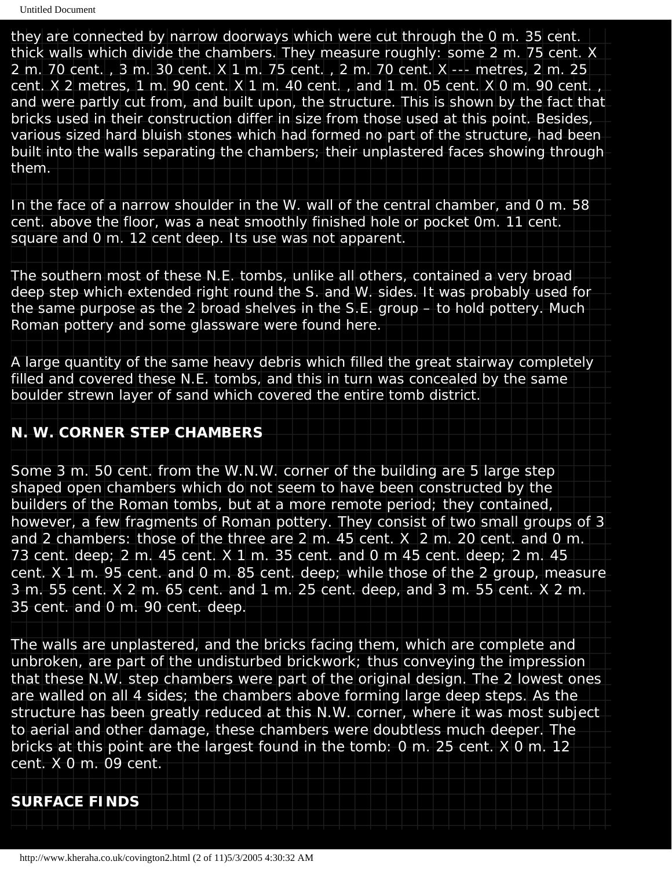they are connected by narrow doorways which were cut through the 0 m. 35 cent. thick walls which divide the chambers. They measure roughly: some 2 m. 75 cent. X 2 m. 70 cent. , 3 m. 30 cent. X 1 m. 75 cent. , 2 m. 70 cent. X --- metres, 2 m. 25 cent. X 2 metres, 1 m. 90 cent. X 1 m. 40 cent. , and 1 m. 05 cent. X 0 m. 90 cent. , and were partly cut from, and built upon, the structure. This is shown by the fact that bricks used in their construction differ in size from those used at this point. Besides, various sized hard bluish stones which had formed no part of the structure, had been built into the walls separating the chambers; their unplastered faces showing through them.

In the face of a narrow shoulder in the W. wall of the central chamber, and 0 m. 58 cent. above the floor, was a neat smoothly finished hole or pocket 0m. 11 cent. square and 0 m. 12 cent deep. Its use was not apparent.

The southern most of these N.E. tombs, unlike all others, contained a very broad deep step which extended right round the S. and W. sides. It was probably used for the same purpose as the 2 broad shelves in the S.E. group – to hold pottery. Much Roman pottery and some glassware were found here.

A large quantity of the same heavy debris which filled the great stairway completely filled and covered these N.E. tombs, and this in turn was concealed by the same boulder strewn layer of sand which covered the entire tomb district.

#### **N. W. CORNER STEP CHAMBERS**

Some 3 m. 50 cent. from the W.N.W. corner of the building are 5 large step shaped open chambers which do not seem to have been constructed by the builders of the Roman tombs, but at a more remote period; they contained, however, a few fragments of Roman pottery. They consist of two small groups of 3 and 2 chambers: those of the three are 2 m. 45 cent. X 2 m. 20 cent. and 0 m. 73 cent. deep; 2 m. 45 cent. X 1 m. 35 cent. and 0 m 45 cent. deep; 2 m. 45 cent. X 1 m. 95 cent. and 0 m. 85 cent. deep; while those of the 2 group, measure 3 m. 55 cent. X 2 m. 65 cent. and 1 m. 25 cent. deep, and 3 m. 55 cent. X 2 m. 35 cent. and 0 m. 90 cent. deep.

The walls are unplastered, and the bricks facing them, which are complete and unbroken, are part of the undisturbed brickwork; thus conveying the impression that these N.W. step chambers were part of the original design. The 2 lowest ones are walled on all 4 sides; the chambers above forming large deep steps. As the structure has been greatly reduced at this N.W. corner, where it was most subject to aerial and other damage, these chambers were doubtless much deeper. The bricks at this point are the largest found in the tomb: 0 m. 25 cent. X 0 m. 12 cent. X 0 m. 09 cent.

#### **SURFACE FINDS**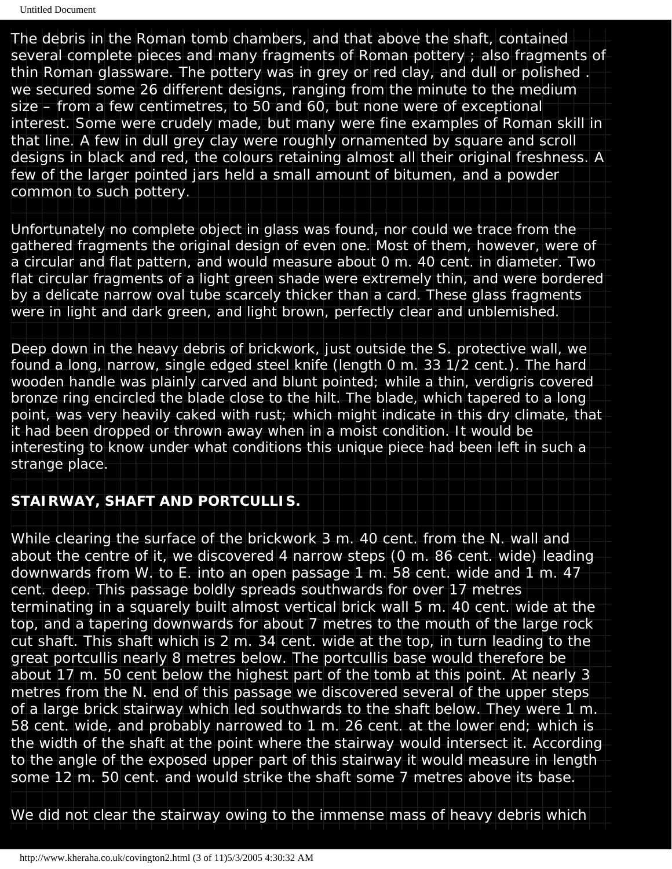The debris in the Roman tomb chambers, and that above the shaft, contained several complete pieces and many fragments of Roman pottery ; also fragments of thin Roman glassware. The pottery was in grey or red clay, and dull or polished . we secured some 26 different designs, ranging from the minute to the medium size – from a few centimetres, to 50 and 60, but none were of exceptional interest. Some were crudely made, but many were fine examples of Roman skill in that line. A few in dull grey clay were roughly ornamented by square and scroll designs in black and red, the colours retaining almost all their original freshness. A few of the larger pointed jars held a small amount of bitumen, and a powder common to such pottery.

Unfortunately no complete object in glass was found, nor could we trace from the gathered fragments the original design of even one. Most of them, however, were of a circular and flat pattern, and would measure about 0 m. 40 cent. in diameter. Two flat circular fragments of a light green shade were extremely thin, and were bordered by a delicate narrow oval tube scarcely thicker than a card. These glass fragments were in light and dark green, and light brown, perfectly clear and unblemished.

Deep down in the heavy debris of brickwork, just outside the S. protective wall, we found a long, narrow, single edged steel knife (length 0 m. 33 1/2 cent.). The hard wooden handle was plainly carved and blunt pointed; while a thin, verdigris covered bronze ring encircled the blade close to the hilt. The blade, which tapered to a long point, was very heavily caked with rust; which might indicate in this dry climate, that it had been dropped or thrown away when in a moist condition. It would be interesting to know under what conditions this unique piece had been left in such a strange place.

#### **STAIRWAY, SHAFT AND PORTCULLIS.**

While clearing the surface of the brickwork 3 m. 40 cent. from the N. wall and about the centre of it, we discovered 4 narrow steps (0 m. 86 cent. wide) leading downwards from W. to E. into an open passage 1 m. 58 cent. wide and 1 m. 47 cent. deep. This passage boldly spreads southwards for over 17 metres terminating in a squarely built almost vertical brick wall 5 m. 40 cent. wide at the top, and a tapering downwards for about 7 metres to the mouth of the large rock cut shaft. This shaft which is 2 m. 34 cent. wide at the top, in turn leading to the great portcullis nearly 8 metres below. The portcullis base would therefore be about 17 m. 50 cent below the highest part of the tomb at this point. At nearly 3 metres from the N. end of this passage we discovered several of the upper steps of a large brick stairway which led southwards to the shaft below. They were 1 m. 58 cent. wide, and probably narrowed to 1 m. 26 cent. at the lower end; which is the width of the shaft at the point where the stairway would intersect it. According to the angle of the exposed upper part of this stairway it would measure in length some 12 m. 50 cent. and would strike the shaft some 7 metres above its base.

We did not clear the stairway owing to the immense mass of heavy debris which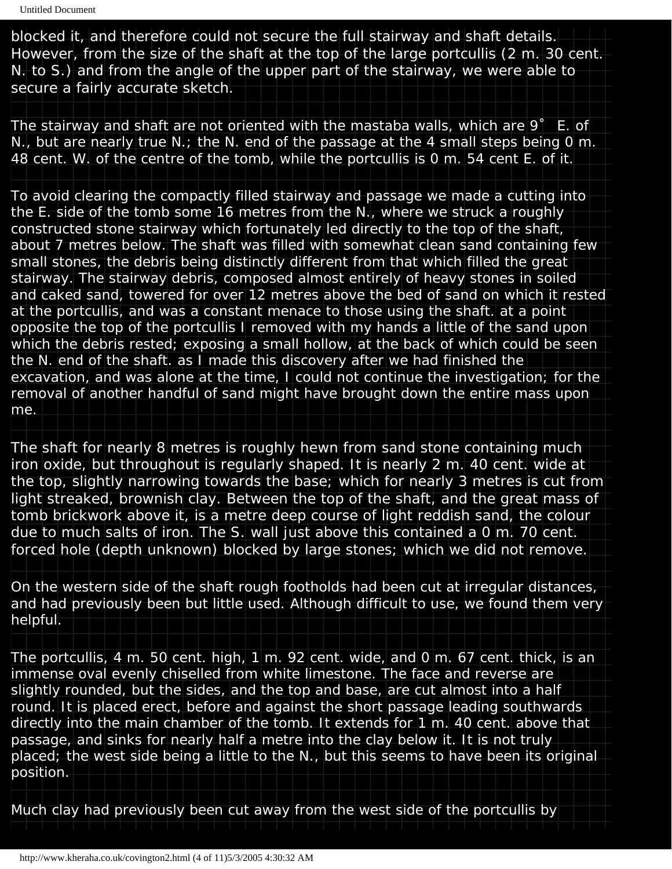blocked it, and therefore could not secure the full stairway and shaft details. However, from the size of the shaft at the top of the large portcullis (2 m. 30 cent. N. to S.) and from the angle of the upper part of the stairway, we were able to secure a fairly accurate sketch.

The stairway and shaft are not oriented with the mastaba walls, which are 9˚ E. of N., but are nearly true N.; the N. end of the passage at the 4 small steps being 0 m. 48 cent. W. of the centre of the tomb, while the portcullis is 0 m. 54 cent E. of it.

To avoid clearing the compactly filled stairway and passage we made a cutting into the E. side of the tomb some 16 metres from the N., where we struck a roughly constructed stone stairway which fortunately led directly to the top of the shaft, about 7 metres below. The shaft was filled with somewhat clean sand containing few small stones, the debris being distinctly different from that which filled the great stairway. The stairway debris, composed almost entirely of heavy stones in soiled and caked sand, towered for over 12 metres above the bed of sand on which it rested at the portcullis, and was a constant menace to those using the shaft. at a point opposite the top of the portcullis I removed with my hands a little of the sand upon which the debris rested; exposing a small hollow, at the back of which could be seen the N. end of the shaft. as I made this discovery after we had finished the excavation, and was alone at the time, I could not continue the investigation; for the removal of another handful of sand might have brought down the entire mass upon me.

The shaft for nearly 8 metres is roughly hewn from sand stone containing much iron oxide, but throughout is regularly shaped. It is nearly 2 m. 40 cent. wide at the top, slightly narrowing towards the base; which for nearly 3 metres is cut from light streaked, brownish clay. Between the top of the shaft, and the great mass of tomb brickwork above it, is a metre deep course of light reddish sand, the colour due to much salts of iron. The S. wall just above this contained a 0 m. 70 cent. forced hole (depth unknown) blocked by large stones; which we did not remove.

On the western side of the shaft rough footholds had been cut at irregular distances, and had previously been but little used. Although difficult to use, we found them very helpful.

The portcullis, 4 m. 50 cent. high, 1 m. 92 cent. wide, and 0 m. 67 cent. thick, is an immense oval evenly chiselled from white limestone. The face and reverse are slightly rounded, but the sides, and the top and base, are cut almost into a half round. It is placed erect, before and against the short passage leading southwards directly into the main chamber of the tomb. It extends for 1 m. 40 cent. above that passage, and sinks for nearly half a metre into the clay below it. It is not truly placed; the west side being a little to the N., but this seems to have been its original position.

Much clay had previously been cut away from the west side of the portcullis by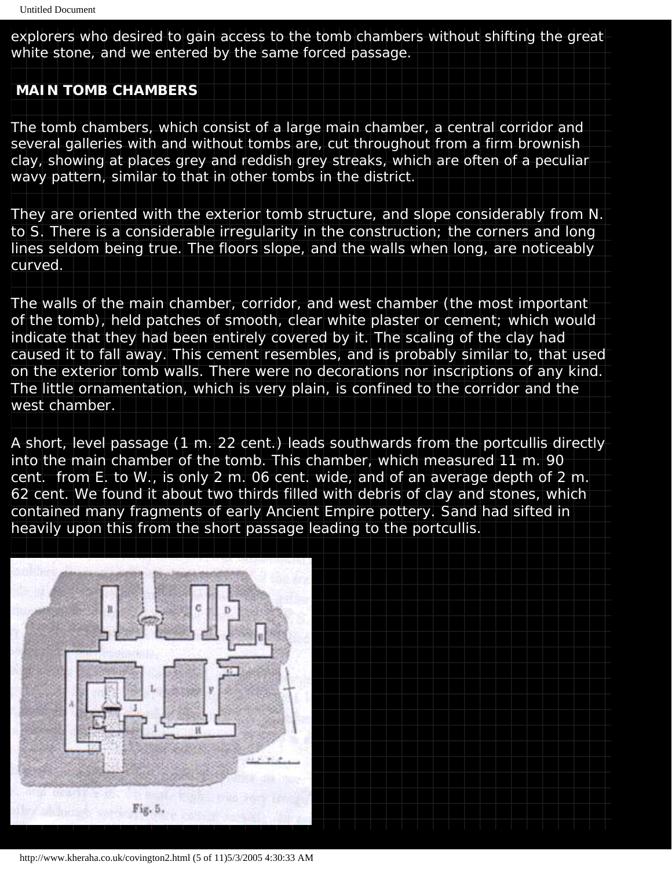explorers who desired to gain access to the tomb chambers without shifting the great white stone, and we entered by the same forced passage.

#### **MAIN TOMB CHAMBERS**

The tomb chambers, which consist of a large main chamber, a central corridor and several galleries with and without tombs are, cut throughout from a firm brownish clay, showing at places grey and reddish grey streaks, which are often of a peculiar wavy pattern, similar to that in other tombs in the district.

They are oriented with the exterior tomb structure, and slope considerably from N. to S. There is a considerable irregularity in the construction; the corners and long lines seldom being true. The floors slope, and the walls when long, are noticeably curved.

The walls of the main chamber, corridor, and west chamber (the most important of the tomb), held patches of smooth, clear white plaster or cement; which would indicate that they had been entirely covered by it. The scaling of the clay had caused it to fall away. This cement resembles, and is probably similar to, that used on the exterior tomb walls. There were no decorations nor inscriptions of any kind. The little ornamentation, which is very plain, is confined to the corridor and the west chamber.

A short, level passage (1 m. 22 cent.) leads southwards from the portcullis directly into the main chamber of the tomb. This chamber, which measured 11 m. 90 cent. from E. to W., is only 2 m. 06 cent. wide, and of an average depth of 2 m. 62 cent. We found it about two thirds filled with debris of clay and stones, which contained many fragments of early Ancient Empire pottery. Sand had sifted in heavily upon this from the short passage leading to the portcullis.



http://www.kheraha.co.uk/covington2.html (5 of 11)5/3/2005 4:30:33 AM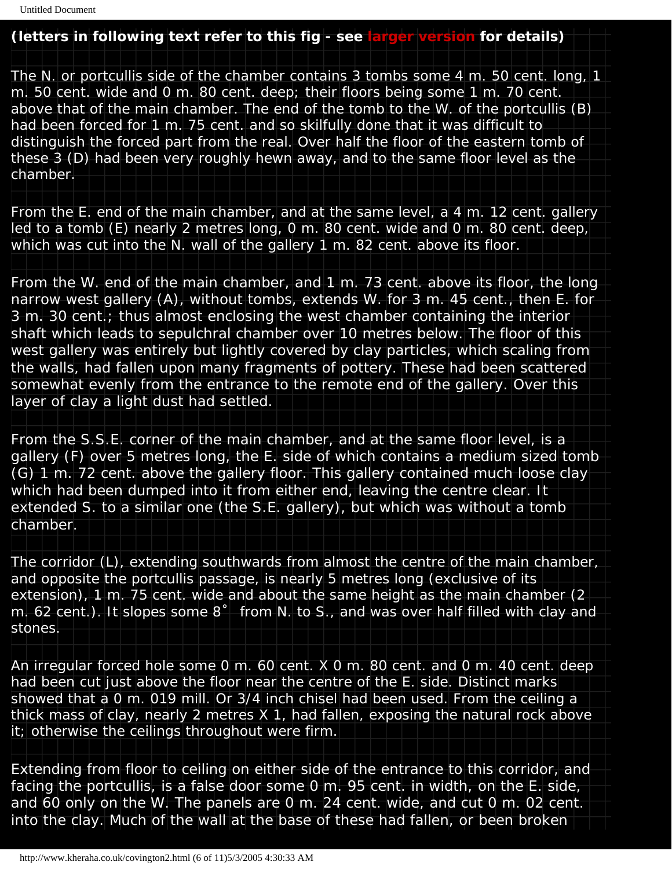#### **(letters in following text refer to this fig - see [larger version](javascript:;) for details)**

The N. or portcullis side of the chamber contains 3 tombs some 4 m. 50 cent. long, 1 m. 50 cent. wide and 0 m. 80 cent. deep; their floors being some 1 m. 70 cent. above that of the main chamber. The end of the tomb to the W. of the portcullis (B) had been forced for 1 m. 75 cent. and so skilfully done that it was difficult to distinguish the forced part from the real. Over half the floor of the eastern tomb of these 3 (D) had been very roughly hewn away, and to the same floor level as the chamber.

From the E. end of the main chamber, and at the same level, a 4 m. 12 cent. gallery led to a tomb (E) nearly 2 metres long, 0 m. 80 cent. wide and 0 m. 80 cent. deep, which was cut into the N. wall of the gallery 1 m. 82 cent. above its floor.

From the W. end of the main chamber, and 1 m. 73 cent. above its floor, the long narrow west gallery (A), without tombs, extends W. for 3 m. 45 cent., then E. for 3 m. 30 cent.; thus almost enclosing the west chamber containing the interior shaft which leads to sepulchral chamber over 10 metres below. The floor of this west gallery was entirely but lightly covered by clay particles, which scaling from the walls, had fallen upon many fragments of pottery. These had been scattered somewhat evenly from the entrance to the remote end of the gallery. Over this layer of clay a light dust had settled.

From the S.S.E. corner of the main chamber, and at the same floor level, is a gallery (F) over 5 metres long, the E. side of which contains a medium sized tomb (G) 1 m. 72 cent. above the gallery floor. This gallery contained much loose clay which had been dumped into it from either end, leaving the centre clear. It extended S. to a similar one (the S.E. gallery), but which was without a tomb chamber.

The corridor (L), extending southwards from almost the centre of the main chamber, and opposite the portcullis passage, is nearly 5 metres long (exclusive of its extension), 1 m. 75 cent. wide and about the same height as the main chamber (2 m. 62 cent.). It slopes some 8˚ from N. to S., and was over half filled with clay and stones.

An irregular forced hole some 0 m. 60 cent. X 0 m. 80 cent. and 0 m. 40 cent. deep had been cut just above the floor near the centre of the E. side. Distinct marks showed that a 0 m. 019 mill. Or 3/4 inch chisel had been used. From the ceiling a thick mass of clay, nearly 2 metres X 1, had fallen, exposing the natural rock above it; otherwise the ceilings throughout were firm.

Extending from floor to ceiling on either side of the entrance to this corridor, and facing the portcullis, is a false door some 0 m. 95 cent. in width, on the E. side, and 60 only on the W. The panels are 0 m. 24 cent. wide, and cut 0 m. 02 cent. into the clay. Much of the wall at the base of these had fallen, or been broken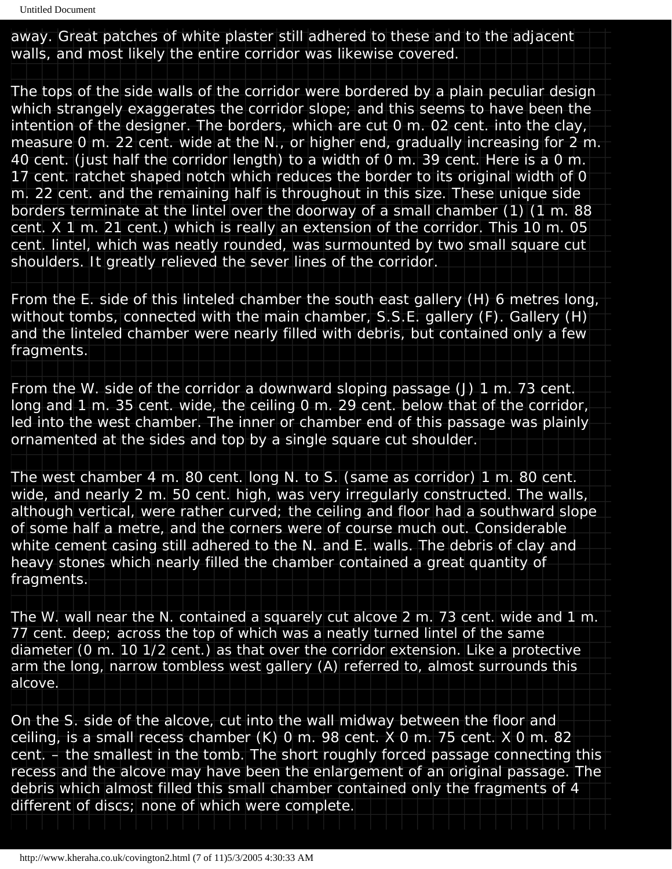away. Great patches of white plaster still adhered to these and to the adjacent walls, and most likely the entire corridor was likewise covered.

The tops of the side walls of the corridor were bordered by a plain peculiar design which strangely exaggerates the corridor slope; and this seems to have been the intention of the designer. The borders, which are cut 0 m. 02 cent. into the clay, measure 0 m. 22 cent. wide at the N., or higher end, gradually increasing for 2 m. 40 cent. (just half the corridor length) to a width of 0 m. 39 cent. Here is a 0 m. 17 cent. ratchet shaped notch which reduces the border to its original width of 0 m. 22 cent. and the remaining half is throughout in this size. These unique side borders terminate at the lintel over the doorway of a small chamber (1) (1 m. 88 cent. X 1 m. 21 cent.) which is really an extension of the corridor. This 10 m. 05 cent. lintel, which was neatly rounded, was surmounted by two small square cut shoulders. It greatly relieved the sever lines of the corridor.

From the E. side of this linteled chamber the south east gallery (H) 6 metres long, without tombs, connected with the main chamber, S.S.E. gallery (F). Gallery (H) and the linteled chamber were nearly filled with debris, but contained only a few fragments.

From the W. side of the corridor a downward sloping passage (J) 1 m. 73 cent. long and 1 m. 35 cent. wide, the ceiling 0 m. 29 cent. below that of the corridor, led into the west chamber. The inner or chamber end of this passage was plainly ornamented at the sides and top by a single square cut shoulder.

The west chamber 4 m. 80 cent. long N. to S. (same as corridor) 1 m. 80 cent. wide, and nearly 2 m. 50 cent. high, was very irregularly constructed. The walls, although vertical, were rather curved; the ceiling and floor had a southward slope of some half a metre, and the corners were of course much out. Considerable white cement casing still adhered to the N. and E. walls. The debris of clay and heavy stones which nearly filled the chamber contained a great quantity of fragments.

The W. wall near the N. contained a squarely cut alcove 2 m. 73 cent. wide and 1 m. 77 cent. deep; across the top of which was a neatly turned lintel of the same diameter (0 m. 10 1/2 cent.) as that over the corridor extension. Like a protective arm the long, narrow tombless west gallery (A) referred to, almost surrounds this alcove.

On the S. side of the alcove, cut into the wall midway between the floor and ceiling, is a small recess chamber (K) 0 m. 98 cent. X 0 m. 75 cent. X 0 m. 82 cent. – the smallest in the tomb. The short roughly forced passage connecting this recess and the alcove may have been the enlargement of an original passage. The debris which almost filled this small chamber contained only the fragments of 4 different of discs; none of which were complete.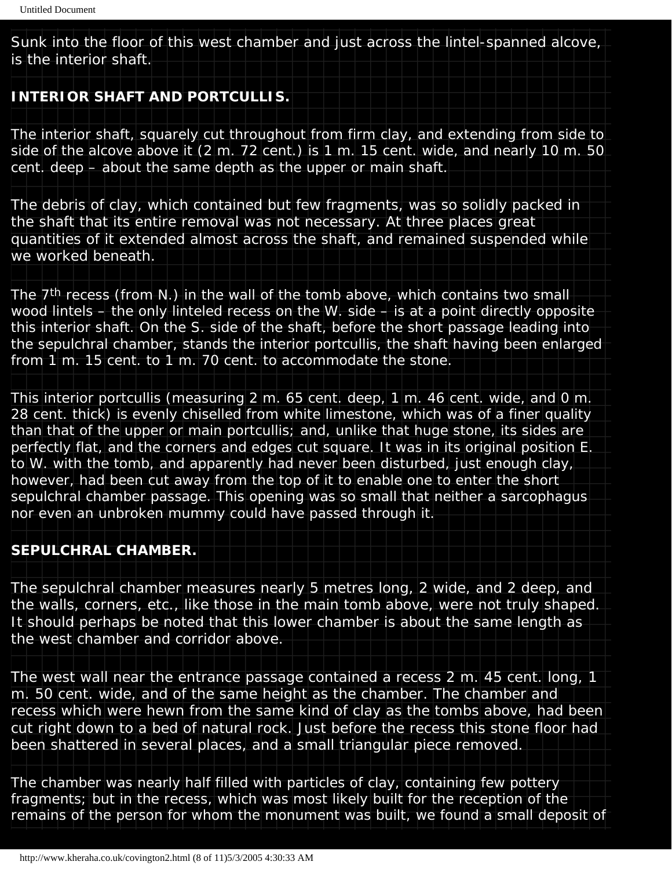Sunk into the floor of this west chamber and just across the lintel-spanned alcove, is the interior shaft.

#### **INTERIOR SHAFT AND PORTCULLIS.**

The interior shaft, squarely cut throughout from firm clay, and extending from side to side of the alcove above it (2 m. 72 cent.) is 1 m. 15 cent. wide, and nearly 10 m. 50 cent. deep – about the same depth as the upper or main shaft.

The debris of clay, which contained but few fragments, was so solidly packed in the shaft that its entire removal was not necessary. At three places great quantities of it extended almost across the shaft, and remained suspended while we worked beneath.

The 7th recess (from N.) in the wall of the tomb above, which contains two small wood lintels – the only linteled recess on the W. side – is at a point directly opposite this interior shaft. On the S. side of the shaft, before the short passage leading into the sepulchral chamber, stands the interior portcullis, the shaft having been enlarged from 1 m. 15 cent. to 1 m. 70 cent. to accommodate the stone.

This interior portcullis (measuring 2 m. 65 cent. deep, 1 m. 46 cent. wide, and 0 m. 28 cent. thick) is evenly chiselled from white limestone, which was of a finer quality than that of the upper or main portcullis; and, unlike that huge stone, its sides are perfectly flat, and the corners and edges cut square. It was in its original position E. to W. with the tomb, and apparently had never been disturbed, just enough clay, however, had been cut away from the top of it to enable one to enter the short sepulchral chamber passage. This opening was so small that neither a sarcophagus nor even an unbroken mummy could have passed through it.

#### **SEPULCHRAL CHAMBER.**

The sepulchral chamber measures nearly 5 metres long, 2 wide, and 2 deep, and the walls, corners, etc., like those in the main tomb above, were not truly shaped. It should perhaps be noted that this lower chamber is about the same length as the west chamber and corridor above.

The west wall near the entrance passage contained a recess 2 m. 45 cent. long, 1 m. 50 cent. wide, and of the same height as the chamber. The chamber and recess which were hewn from the same kind of clay as the tombs above, had been cut right down to a bed of natural rock. Just before the recess this stone floor had been shattered in several places, and a small triangular piece removed.

The chamber was nearly half filled with particles of clay, containing few pottery fragments; but in the recess, which was most likely built for the reception of the remains of the person for whom the monument was built, we found a small deposit of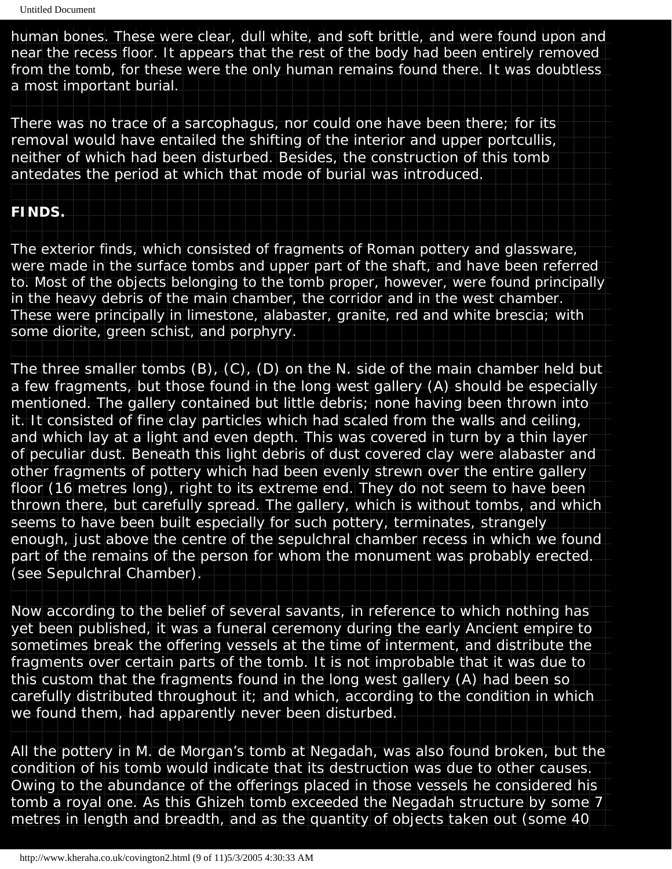human bones. These were clear, dull white, and soft brittle, and were found upon and near the recess floor. It appears that the rest of the body had been entirely removed from the tomb, for these were the only human remains found there. It was doubtless a most important burial.

There was no trace of a sarcophagus, nor could one have been there; for its removal would have entailed the shifting of the interior and upper portcullis, neither of which had been disturbed. Besides, the construction of this tomb antedates the period at which that mode of burial was introduced.

## **FINDS.**

The exterior finds, which consisted of fragments of Roman pottery and glassware, were made in the surface tombs and upper part of the shaft, and have been referred to. Most of the objects belonging to the tomb proper, however, were found principally in the heavy debris of the main chamber, the corridor and in the west chamber. These were principally in limestone, alabaster, granite, red and white brescia; with some diorite, green schist, and porphyry.

The three smaller tombs (B), (C), (D) on the N. side of the main chamber held but a few fragments, but those found in the long west gallery (A) should be especially mentioned. The gallery contained but little debris; none having been thrown into it. It consisted of fine clay particles which had scaled from the walls and ceiling, and which lay at a light and even depth. This was covered in turn by a thin layer of peculiar dust. Beneath this light debris of dust covered clay were alabaster and other fragments of pottery which had been evenly strewn over the entire gallery floor (16 metres long), right to its extreme end. They do not seem to have been thrown there, but carefully spread. The gallery, which is without tombs, and which seems to have been built especially for such pottery, terminates, strangely enough, just above the centre of the sepulchral chamber recess in which we found part of the remains of the person for whom the monument was probably erected. (see Sepulchral Chamber).

Now according to the belief of several savants, in reference to which nothing has yet been published, it was a funeral ceremony during the early Ancient empire to sometimes break the offering vessels at the time of interment, and distribute the fragments over certain parts of the tomb. It is not improbable that it was due to this custom that the fragments found in the long west gallery (A) had been so carefully distributed throughout it; and which, according to the condition in which we found them, had apparently never been disturbed.

All the pottery in M. de Morgan's tomb at Negadah, was also found broken, but the condition of his tomb would indicate that its destruction was due to other causes. Owing to the abundance of the offerings placed in those vessels he considered his tomb a royal one. As this Ghizeh tomb exceeded the Negadah structure by some 7 metres in length and breadth, and as the quantity of objects taken out (some 40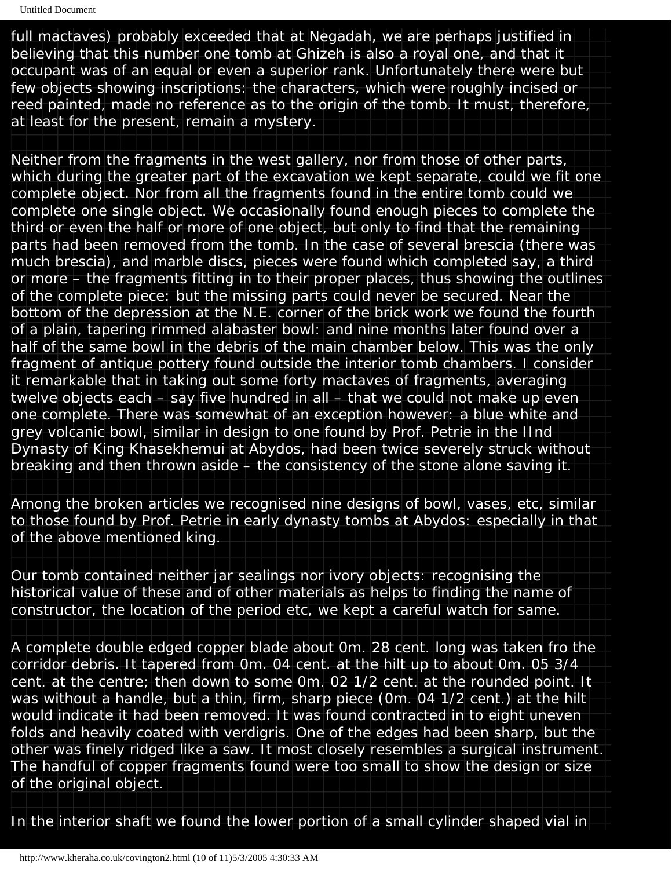full mactaves) probably exceeded that at Negadah, we are perhaps justified in believing that this number one tomb at Ghizeh is also a royal one, and that it occupant was of an equal or even a superior rank. Unfortunately there were but few objects showing inscriptions: the characters, which were roughly incised or reed painted, made no reference as to the origin of the tomb. It must, therefore, at least for the present, remain a mystery.

Neither from the fragments in the west gallery, nor from those of other parts, which during the greater part of the excavation we kept separate, could we fit one complete object. Nor from all the fragments found in the entire tomb could we complete one single object. We occasionally found enough pieces to complete the third or even the half or more of one object, but only to find that the remaining parts had been removed from the tomb. In the case of several brescia (there was much brescia), and marble discs, pieces were found which completed say, a third or more – the fragments fitting in to their proper places, thus showing the outlines of the complete piece: but the missing parts could never be secured. Near the bottom of the depression at the N.E. corner of the brick work we found the fourth of a plain, tapering rimmed alabaster bowl: and nine months later found over a half of the same bowl in the debris of the main chamber below. This was the only fragment of antique pottery found outside the interior tomb chambers. I consider it remarkable that in taking out some forty mactaves of fragments, averaging twelve objects each – say five hundred in all – that we could not make up even one complete. There was somewhat of an exception however: a blue white and grey volcanic bowl, similar in design to one found by Prof. Petrie in the IInd Dynasty of King Khasekhemui at Abydos, had been twice severely struck without breaking and then thrown aside – the consistency of the stone alone saving it.

Among the broken articles we recognised nine designs of bowl, vases, etc, similar to those found by Prof. Petrie in early dynasty tombs at Abydos: especially in that of the above mentioned king.

Our tomb contained neither jar sealings nor ivory objects: recognising the historical value of these and of other materials as helps to finding the name of constructor, the location of the period etc, we kept a careful watch for same.

A complete double edged copper blade about 0m. 28 cent. long was taken fro the corridor debris. It tapered from 0m. 04 cent. at the hilt up to about 0m. 05 3/4 cent. at the centre; then down to some 0m. 02 1/2 cent. at the rounded point. It was without a handle, but a thin, firm, sharp piece (0m. 04 1/2 cent.) at the hilt would indicate it had been removed. It was found contracted in to eight uneven folds and heavily coated with verdigris. One of the edges had been sharp, but the other was finely ridged like a saw. It most closely resembles a surgical instrument. The handful of copper fragments found were too small to show the design or size of the original object.

In the interior shaft we found the lower portion of a small cylinder shaped vial in